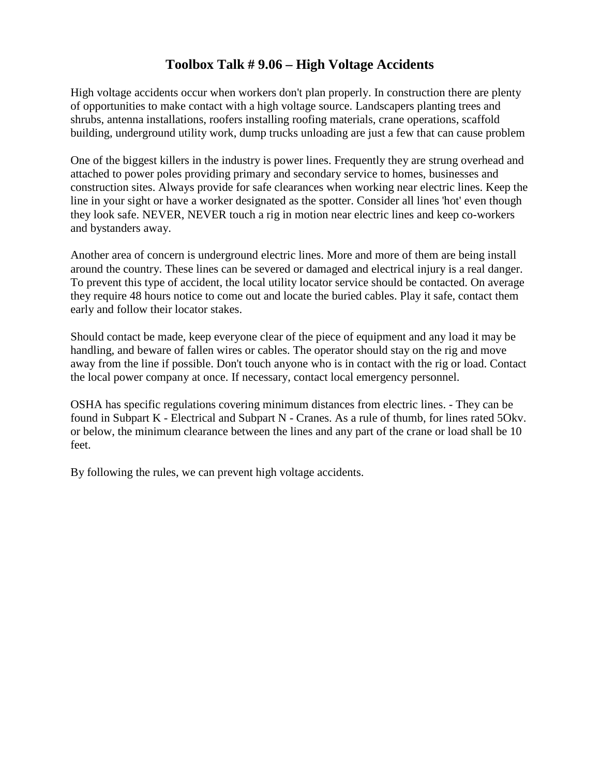## **Toolbox Talk # 9.06 – High Voltage Accidents**

High voltage accidents occur when workers don't plan properly. In construction there are plenty of opportunities to make contact with a high voltage source. Landscapers planting trees and shrubs, antenna installations, roofers installing roofing materials, crane operations, scaffold building, underground utility work, dump trucks unloading are just a few that can cause problem

One of the biggest killers in the industry is power lines. Frequently they are strung overhead and attached to power poles providing primary and secondary service to homes, businesses and construction sites. Always provide for safe clearances when working near electric lines. Keep the line in your sight or have a worker designated as the spotter. Consider all lines 'hot' even though they look safe. NEVER, NEVER touch a rig in motion near electric lines and keep co-workers and bystanders away.

Another area of concern is underground electric lines. More and more of them are being install around the country. These lines can be severed or damaged and electrical injury is a real danger. To prevent this type of accident, the local utility locator service should be contacted. On average they require 48 hours notice to come out and locate the buried cables. Play it safe, contact them early and follow their locator stakes.

Should contact be made, keep everyone clear of the piece of equipment and any load it may be handling, and beware of fallen wires or cables. The operator should stay on the rig and move away from the line if possible. Don't touch anyone who is in contact with the rig or load. Contact the local power company at once. If necessary, contact local emergency personnel.

OSHA has specific regulations covering minimum distances from electric lines. - They can be found in Subpart K - Electrical and Subpart N - Cranes. As a rule of thumb, for lines rated 5Okv. or below, the minimum clearance between the lines and any part of the crane or load shall be 10 feet.

By following the rules, we can prevent high voltage accidents.